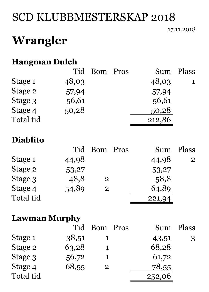# SCD KLUBBMESTERSKAP 2018

#### 17.11.2018

# **Wrangler**

### **Hangman Dulch**

|           |       | Tid Bom Pros |        | Sum Plass |
|-----------|-------|--------------|--------|-----------|
| Stage 1   | 48,03 |              | 48,03  | 1         |
| Stage 2   | 57,94 |              | 57,94  |           |
| Stage 3   | 56,61 |              | 56,61  |           |
| Stage 4   | 50,28 |              | 50,28  |           |
| Total tid |       |              | 212,86 |           |

### **Diablito**

|           |       | Tid Bom Pros   | Sum    | Plass |
|-----------|-------|----------------|--------|-------|
| Stage 1   | 44,98 |                | 44,98  | 2     |
| Stage 2   | 53,27 |                | 53,27  |       |
| Stage 3   | 48,8  | $\overline{2}$ | 58,8   |       |
| Stage 4   | 54,89 | $\overline{2}$ | 64,89  |       |
| Total tid |       |                | 221,94 |       |

### **Lawman Murphy**

|           |       | Tid Bom Pros   |        | Sum Plass |
|-----------|-------|----------------|--------|-----------|
| Stage 1   | 38,51 |                | 43,51  | 3         |
| Stage 2   | 63,28 |                | 68,28  |           |
| Stage 3   | 56,72 |                | 61,72  |           |
| Stage 4   | 68,55 | $\overline{2}$ | 78,55  |           |
| Total tid |       |                | 252,06 |           |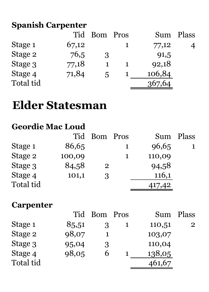# **Spanish Carpenter**

| <b>Tid</b> | Bom | Sum         | Plass |
|------------|-----|-------------|-------|
| 67,12      |     | 77,12       |       |
| 76,5       | 3   | 91,5        |       |
| 77,18      |     | 92,18       |       |
| 71,84      | 5   | 106,84      |       |
|            |     | 367,64      |       |
|            |     | <b>Pros</b> |       |

# **Elder Statesman**

## **Geordie Mac Loud**

|           |        | Tid Bom        | Pros | Sum    | Plass |
|-----------|--------|----------------|------|--------|-------|
| Stage 1   | 86,65  |                |      | 96,65  |       |
| Stage 2   | 100,09 |                |      | 110,09 |       |
| Stage 3   | 84,58  | $\overline{2}$ |      | 94,58  |       |
| Stage 4   | 101,1  | 3              |      | 116,1  |       |
| Total tid |        |                |      | 417,42 |       |

### **Carpenter**

|           | Tid   | Bom Pros |        | Sum Plass      |
|-----------|-------|----------|--------|----------------|
| Stage 1   | 85,51 |          | 110,51 | $\overline{2}$ |
| Stage 2   | 98,07 |          | 103,07 |                |
| Stage 3   | 95,04 | 3        | 110,04 |                |
| Stage 4   | 98,05 | h        | 138,05 |                |
| Total tid |       |          | 461,67 |                |